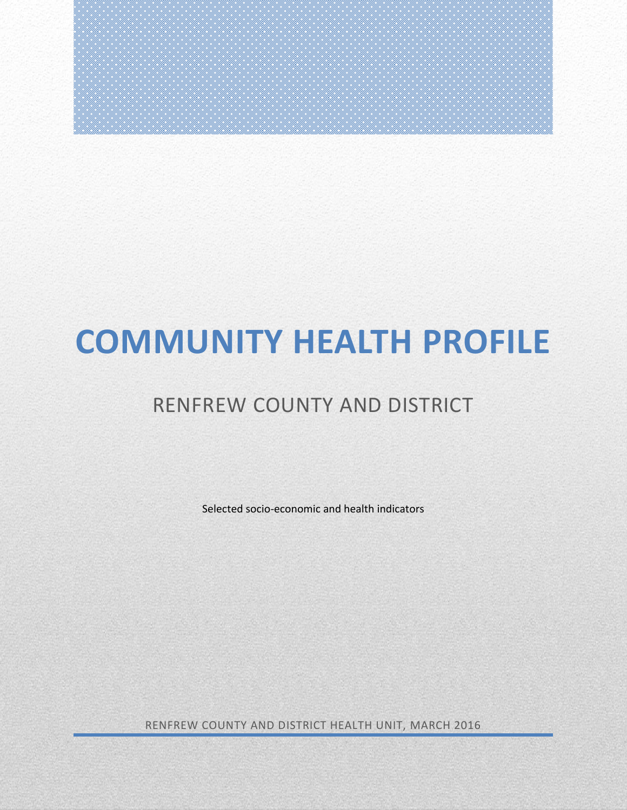# **COMMUNITY HEALTH PROFILE**

# RENFREW COUNTY AND DISTRICT

Selected socio-economic and health indicators

RENFREW COUNTY AND DISTRICT HEALTH UNIT, MARCH 2016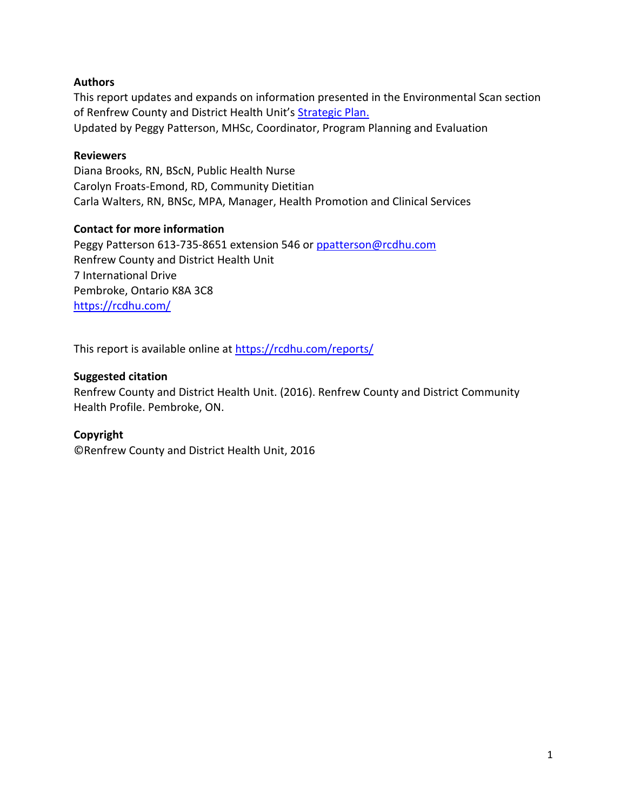# **Authors**

This report updates and expands on information presented in the Environmental Scan section of Renfrew County and District Health Unit's [Strategic Plan.](http://rcdhu.com/wp-content/uploads/2016/12/Strategic-Plan-2015-2019-FINAL-March-11-2015.pdf) Updated by Peggy Patterson, MHSc, Coordinator, Program Planning and Evaluation

#### **Reviewers**

Diana Brooks, RN, BScN, Public Health Nurse Carolyn Froats-Emond, RD, Community Dietitian Carla Walters, RN, BNSc, MPA, Manager, Health Promotion and Clinical Services

#### **Contact for more information**

Peggy Patterson 613-735-8651 extension 546 or [ppatterson@rcdhu.com](mailto:ppatterson@rcdhu.com) Renfrew County and District Health Unit 7 International Drive Pembroke, Ontario K8A 3C8 <https://rcdhu.com/>

This report is available online at <https://rcdhu.com/reports/>

#### **Suggested citation**

Renfrew County and District Health Unit. (2016). Renfrew County and District Community Health Profile. Pembroke, ON.

#### **Copyright**

©Renfrew County and District Health Unit, 2016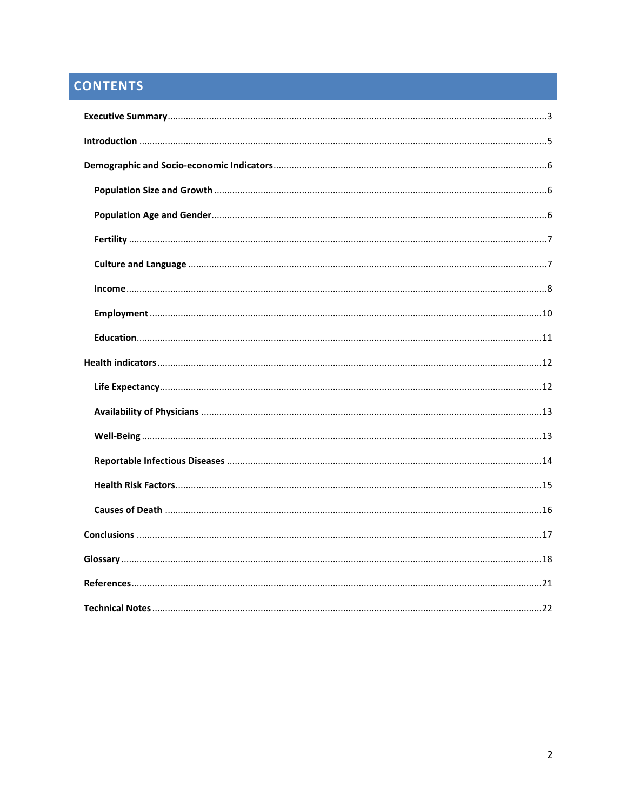# **CONTENTS**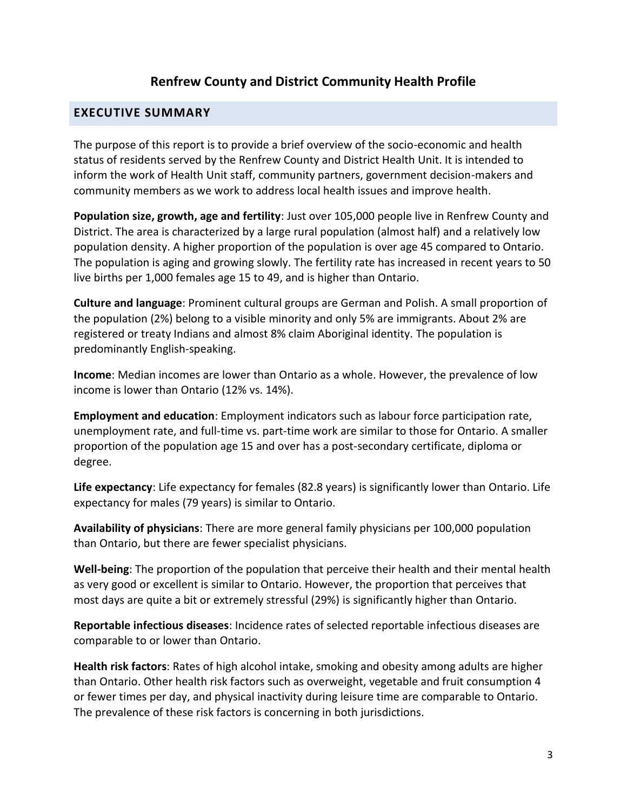# **Renfrew County and District Community Health Profile**

# <span id="page-3-0"></span>**EXECUTIVE SUMMARY**

The purpose of this report is to provide a brief overview of the socio-economic and health status of residents served by the Renfrew County and District Health Unit. It is intended to inform the work of Health Unit staff, community partners, government decision-makers and community members as we work to address local health issues and improve health.

**Population size, growth, age and fertility**: Just over 105,000 people live in Renfrew County and District. The area is characterized by a large rural population (almost half) and a relatively low population density. A higher proportion of the population is over age 45 compared to Ontario. The population is aging and growing slowly. The fertility rate has increased in recent years to 50 live births per 1,000 females age 15 to 49, and is higher than Ontario.

**Culture and language**: Prominent cultural groups are German and Polish. A small proportion of the population (2%) belong to a visible minority and only 5% are immigrants. About 2% are registered or treaty Indians and almost 8% claim Aboriginal identity. The population is predominantly English-speaking.

**Income**: Median incomes are lower than Ontario as a whole. However, the prevalence of low income is lower than Ontario (12% vs. 14%).

**Employment and education**: Employment indicators such as labour force participation rate, unemployment rate, and full-time vs. part-time work are similar to those for Ontario. A smaller proportion of the population age 15 and over has a post-secondary certificate, diploma or degree.

**Life expectancy**: Life expectancy for females (82.8 years) is significantly lower than Ontario. Life expectancy for males (79 years) is similar to Ontario.

**Availability of physicians**: There are more general family physicians per 100,000 population than Ontario, but there are fewer specialist physicians.

**Well-being**: The proportion of the population that perceive their health and their mental health as very good or excellent is similar to Ontario. However, the proportion that perceives that most days are quite a bit or extremely stressful (29%) is significantly higher than Ontario.

**Reportable infectious diseases**: Incidence rates of selected reportable infectious diseases are comparable to or lower than Ontario.

**Health risk factors**: Rates of high alcohol intake, smoking and obesity among adults are higher than Ontario. Other health risk factors such as overweight, vegetable and fruit consumption 4 or fewer times per day, and physical inactivity during leisure time are comparable to Ontario. The prevalence of these risk factors is concerning in both jurisdictions.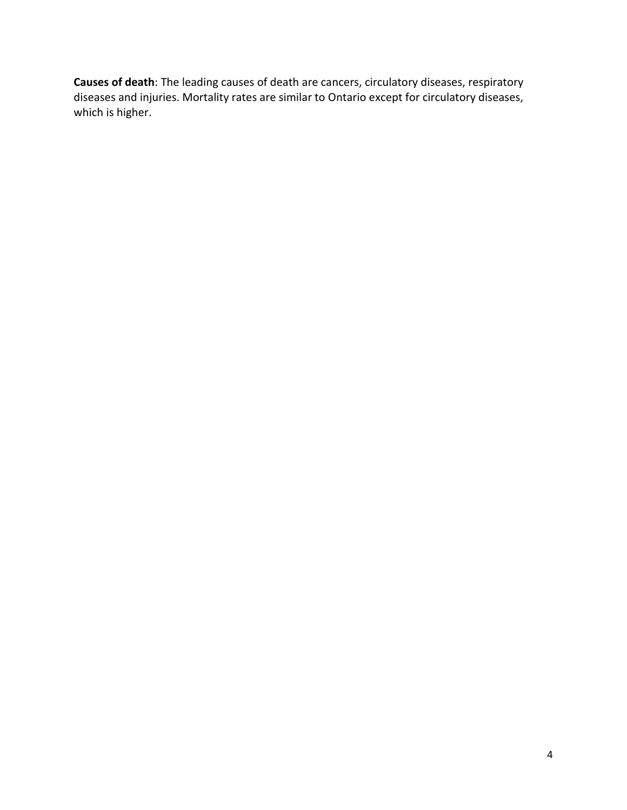**Causes of death**: The leading causes of death are cancers, circulatory diseases, respiratory diseases and injuries. Mortality rates are similar to Ontario except for circulatory diseases, which is higher.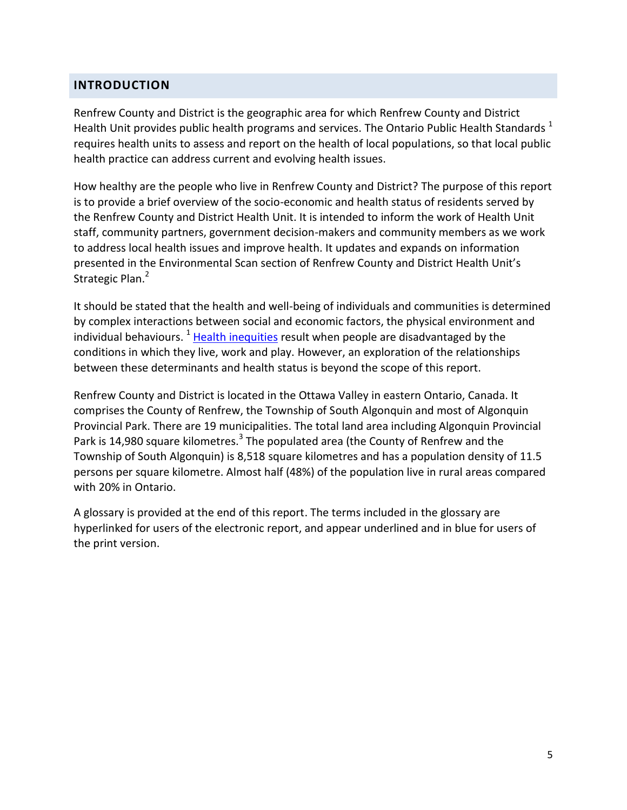# <span id="page-5-0"></span>**INTRODUCTION**

Renfrew County and District is the geographic area for which Renfrew County and District Health Unit provides public health programs and services. The Ontario Public Health Standards  $<sup>1</sup>$ </sup> requires health units to assess and report on the health of local populations, so that local public health practice can address current and evolving health issues.

How healthy are the people who live in Renfrew County and District? The purpose of this report is to provide a brief overview of the socio-economic and health status of residents served by the Renfrew County and District Health Unit. It is intended to inform the work of Health Unit staff, community partners, government decision-makers and community members as we work to address local health issues and improve health. It updates and expands on information presented in the Environmental Scan section of Renfrew County and District Health Unit's Strategic Plan.<sup>2</sup>

It should be stated that the health and well-being of individuals and communities is determined by complex interactions between social and economic factors, the physical environment and individual behaviours.  $1$  [Health inequities](#page-19-0) result when people are disadvantaged by the conditions in which they live, work and play. However, an exploration of the relationships between these determinants and health status is beyond the scope of this report.

Renfrew County and District is located in the Ottawa Valley in eastern Ontario, Canada. It comprises the County of Renfrew, the Township of South Algonquin and most of Algonquin Provincial Park. There are 19 municipalities. The total land area including Algonquin Provincial Park is 14,980 square kilometres.<sup>3</sup> The populated area (the County of Renfrew and the Township of South Algonquin) is 8,518 square kilometres and has a population density of 11.5 persons per square kilometre. Almost half (48%) of the population live in rural areas compared with 20% in Ontario.

A glossary is provided at the end of this report. The terms included in the glossary are hyperlinked for users of the electronic report, and appear underlined and in blue for users of the print version.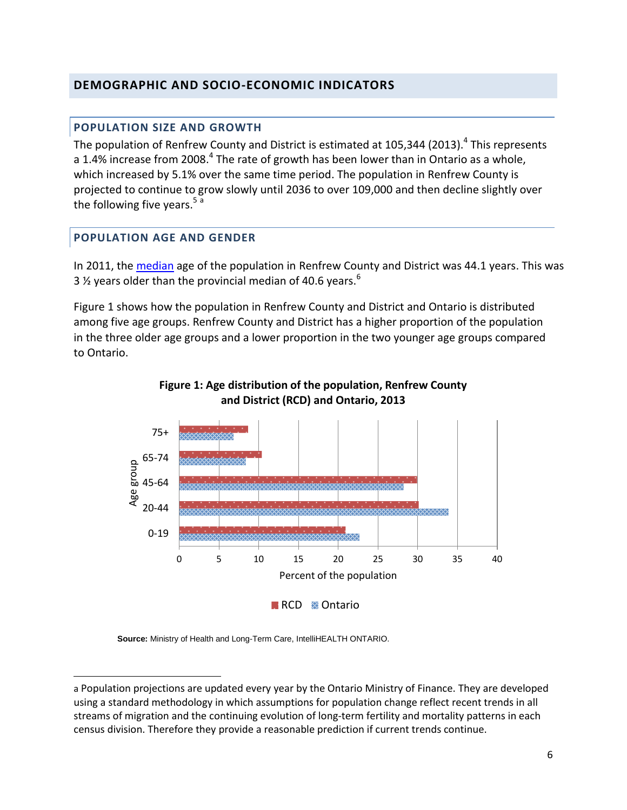# <span id="page-6-1"></span><span id="page-6-0"></span>**DEMOGRAPHIC AND SOCIO-ECONOMIC INDICATORS**

### **POPULATION SIZE AND GROWTH**

The population of Renfrew County and District is estimated at 105,344 (2013).<sup>4</sup> This represents a 1.4% increase from 2008.<sup>4</sup> The rate of growth has been lower than in Ontario as a whole, which increased by 5.1% over the same time period. The population in Renfrew County is projected to continue to grow slowly until 2036 to over 109,000 and then decline slightly over the following five years.<sup>5 a</sup>

#### <span id="page-6-2"></span>**POPULATION AGE AND GENDER**

 $\overline{a}$ 

In 2011, the [median](#page-19-1) age of the population in Renfrew County and District was 44.1 years. This was 3  $\frac{1}{2}$  years older than the provincial median of 40.6 years.<sup>6</sup>

Figure 1 shows how the population in Renfrew County and District and Ontario is distributed among five age groups. Renfrew County and District has a higher proportion of the population in the three older age groups and a lower proportion in the two younger age groups compared to Ontario.



#### **Figure 1: Age distribution of the population, Renfrew County and District (RCD) and Ontario, 2013**

**Source:** Ministry of Health and Long-Term Care, IntelliHEALTH ONTARIO.

a Population projections are updated every year by the Ontario Ministry of Finance. They are developed using a standard methodology in which assumptions for population change reflect recent trends in all streams of migration and the continuing evolution of long-term fertility and mortality patterns in each census division. Therefore they provide a reasonable prediction if current trends continue.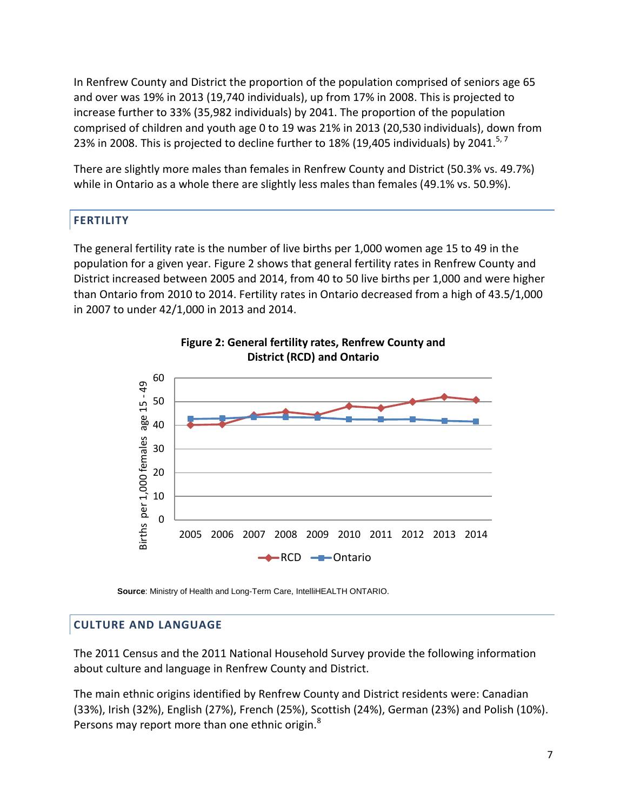In Renfrew County and District the proportion of the population comprised of seniors age 65 and over was 19% in 2013 (19,740 individuals), up from 17% in 2008. This is projected to increase further to 33% (35,982 individuals) by 2041. The proportion of the population comprised of children and youth age 0 to 19 was 21% in 2013 (20,530 individuals), down from 23% in 2008. This is projected to decline further to 18% (19,405 individuals) by 2041.<sup>5,7</sup>

There are slightly more males than females in Renfrew County and District (50.3% vs. 49.7%) while in Ontario as a whole there are slightly less males than females (49.1% vs. 50.9%).

# <span id="page-7-0"></span>**FERTILITY**

The general fertility rate is the number of live births per 1,000 women age 15 to 49 in the population for a given year. Figure 2 shows that general fertility rates in Renfrew County and District increased between 2005 and 2014, from 40 to 50 live births per 1,000 and were higher than Ontario from 2010 to 2014. Fertility rates in Ontario decreased from a high of 43.5/1,000 in 2007 to under 42/1,000 in 2013 and 2014.



**Figure 2: General fertility rates, Renfrew County and District (RCD) and Ontario**

**Source**: Ministry of Health and Long-Term Care, IntelliHEALTH ONTARIO.

# <span id="page-7-1"></span>**CULTURE AND LANGUAGE**

The 2011 Census and the 2011 National Household Survey provide the following information about culture and language in Renfrew County and District.

The main ethnic origins identified by Renfrew County and District residents were: Canadian (33%), Irish (32%), English (27%), French (25%), Scottish (24%), German (23%) and Polish (10%). Persons may report more than one ethnic origin.<sup>8</sup>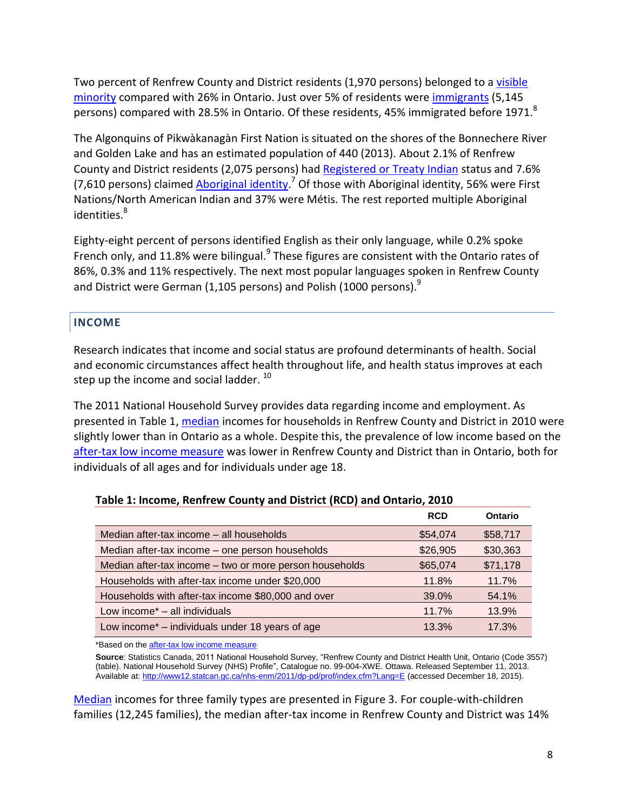Two percent of Renfrew County and District residents (1,970 persons) belonged to [a visible](#page-18-1)  [minority](#page-18-1) compared with 26% in Ontario. Just over 5% of residents were [immigrants](#page-19-2) (5,145 persons) compared with 28.5% in Ontario. Of these residents, 45% immigrated before 1971. $8$ 

The Algonquins of Pikwàkanagàn First Nation is situated on the shores of the Bonnechere River and Golden Lake and has an estimated population of 440 (2013). About 2.1% of Renfrew County and District residents (2,075 persons) had [Registered or Treaty Indian](#page-20-0) status and 7.6% (7,610 persons) claimed *[Aboriginal](#page-18-1) identity*.<sup>7</sup> Of those with Aboriginal identity, 56% were First Nations/North American Indian and 37% were Métis. The rest reported multiple Aboriginal identities.<sup>8</sup>

Eighty-eight percent of persons identified English as their only language, while 0.2% spoke French only, and 11.8% were bilingual.<sup>9</sup> These figures are consistent with the Ontario rates of 86%, 0.3% and 11% respectively. The next most popular languages spoken in Renfrew County and District were German (1,105 persons) and Polish (1000 persons).<sup>9</sup>

# <span id="page-8-0"></span>**INCOME**

Research indicates that income and social status are profound determinants of health. Social and economic circumstances affect health throughout life, and health status improves at each step up the income and social ladder.  $^{10}$ 

The 2011 National Household Survey provides data regarding income and employment. As presented in Table 1, [median](#page-19-1) incomes for households in Renfrew County and District in 2010 were slightly lower than in Ontario as a whole. Despite this, the prevalence of low income based on the [after-tax low income measure](#page-18-2) was lower in Renfrew County and District than in Ontario, both for individuals of all ages and for individuals under age 18.

| Table 1. McGrille, Remitew County and District (RCD) and Ontario, 2010 |            |          |
|------------------------------------------------------------------------|------------|----------|
|                                                                        | <b>RCD</b> | Ontario  |
| Median after-tax income – all households                               | \$54,074   | \$58,717 |
| Median after-tax income – one person households                        | \$26,905   | \$30,363 |
| Median after-tax income – two or more person households                | \$65,074   | \$71,178 |
| Households with after-tax income under \$20,000                        | 11.8%      | 11.7%    |
| Households with after-tax income \$80,000 and over                     | 39.0%      | 54.1%    |
| Low income* - all individuals                                          | 11.7%      | 13.9%    |
| Low income* - individuals under 18 years of age                        | 13.3%      | 17.3%    |

# **Table 1: Income, Renfrew County and District (RCD) and Ontario, 2010**

\*Based on th[e after-tax low income measure](#page-18-2)

**Source**: Statistics Canada, 2011 National Household Survey, "Renfrew County and District Health Unit, Ontario (Code 3557) (table). National Household Survey (NHS) Profile", Catalogue no. 99-004-XWE. Ottawa. Released September 11, 2013. Available at: <http://www12.statcan.gc.ca/nhs-enm/2011/dp-pd/prof/index.cfm?Lang=E> (accessed December 18, 2015).

[Median](#page-19-1) incomes for three family types are presented in Figure 3. For couple-with-children families (12,245 families), the median after-tax income in Renfrew County and District was 14%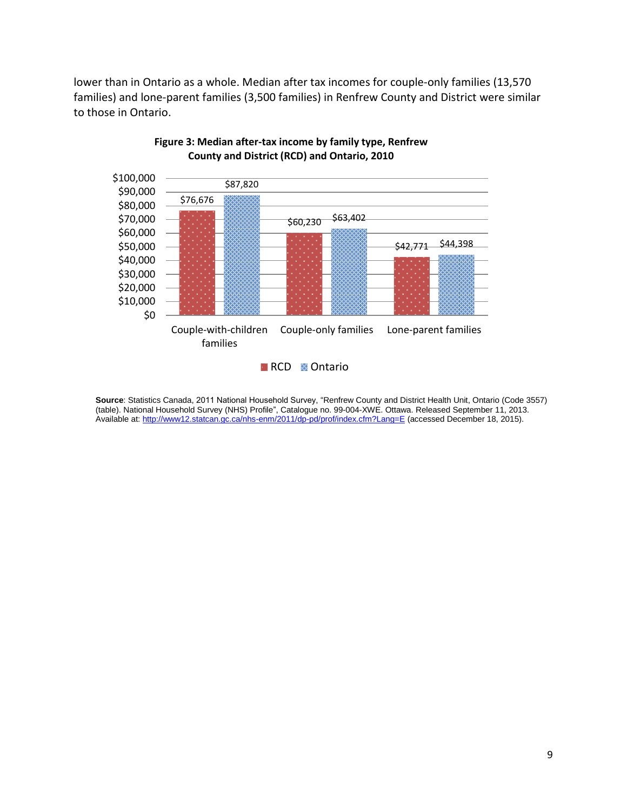lower than in Ontario as a whole. Median after tax incomes for couple-only families (13,570 families) and lone-parent families (3,500 families) in Renfrew County and District were similar to those in Ontario.



#### **Figure 3: Median after-tax income by family type, Renfrew County and District (RCD) and Ontario, 2010**

**Source**: Statistics Canada, 2011 National Household Survey, "Renfrew County and District Health Unit, Ontario (Code 3557) (table). National Household Survey (NHS) Profile", Catalogue no. 99-004-XWE. Ottawa. Released September 11, 2013. Available at: <http://www12.statcan.gc.ca/nhs-enm/2011/dp-pd/prof/index.cfm?Lang=E> (accessed December 18, 2015).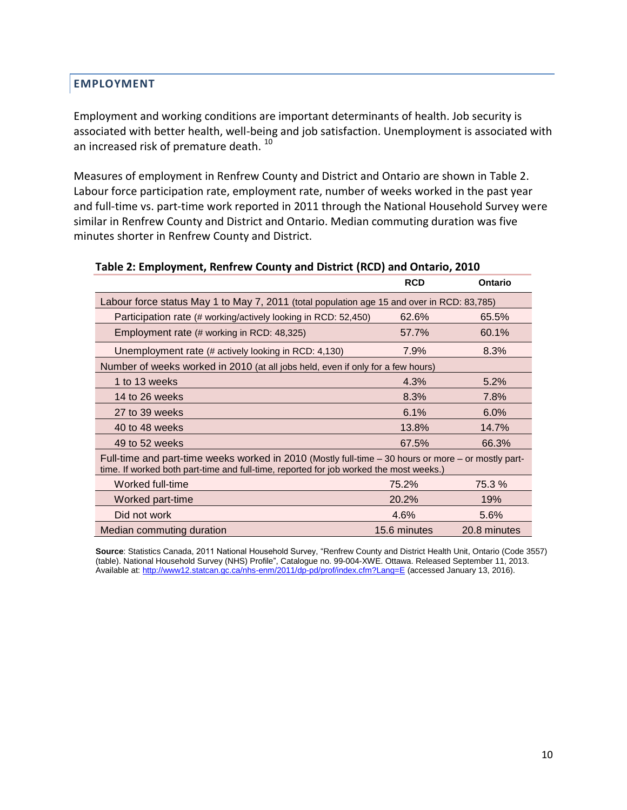### <span id="page-10-0"></span>**EMPLOYMENT**

Employment and working conditions are important determinants of health. Job security is associated with better health, well-being and job satisfaction. Unemployment is associated with an increased risk of premature death.<sup>10</sup>

Measures of employment in Renfrew County and District and Ontario are shown in Table 2. Labour force participation rate, employment rate, number of weeks worked in the past year and full-time vs. part-time work reported in 2011 through the National Household Survey were similar in Renfrew County and District and Ontario. Median commuting duration was five minutes shorter in Renfrew County and District.

|                                                                                                                                                                                               | <b>RCD</b>   | <b>Ontario</b> |  |
|-----------------------------------------------------------------------------------------------------------------------------------------------------------------------------------------------|--------------|----------------|--|
| Labour force status May 1 to May 7, 2011 (total population age 15 and over in RCD: 83,785)                                                                                                    |              |                |  |
| Participation rate (# working/actively looking in RCD: 52,450)                                                                                                                                | 62.6%        | 65.5%          |  |
| Employment rate (# working in RCD: 48,325)                                                                                                                                                    | 57.7%        | 60.1%          |  |
| Unemployment rate (# actively looking in RCD: 4,130)                                                                                                                                          | 7.9%         | 8.3%           |  |
| Number of weeks worked in 2010 (at all jobs held, even if only for a few hours)                                                                                                               |              |                |  |
| 1 to 13 weeks                                                                                                                                                                                 | 4.3%         | 5.2%           |  |
| 14 to 26 weeks                                                                                                                                                                                | 8.3%         | 7.8%           |  |
| 27 to 39 weeks                                                                                                                                                                                | 6.1%         | 6.0%           |  |
| 40 to 48 weeks                                                                                                                                                                                | 13.8%        | 14.7%          |  |
| 49 to 52 weeks                                                                                                                                                                                | 67.5%        | 66.3%          |  |
| Full-time and part-time weeks worked in 2010 (Mostly full-time – 30 hours or more – or mostly part-<br>time. If worked both part-time and full-time, reported for job worked the most weeks.) |              |                |  |
| Worked full-time                                                                                                                                                                              | 75.2%        | 75.3 %         |  |
| Worked part-time                                                                                                                                                                              | 20.2%        | 19%            |  |
| Did not work                                                                                                                                                                                  | 4.6%         | 5.6%           |  |
| Median commuting duration                                                                                                                                                                     | 15.6 minutes | 20.8 minutes   |  |

#### **Table 2: Employment, Renfrew County and District (RCD) and Ontario, 2010**

**Source**: Statistics Canada, 2011 National Household Survey, "Renfrew County and District Health Unit, Ontario (Code 3557) (table). National Household Survey (NHS) Profile", Catalogue no. 99-004-XWE. Ottawa. Released September 11, 2013. Available at: <http://www12.statcan.gc.ca/nhs-enm/2011/dp-pd/prof/index.cfm?Lang=E> (accessed January 13, 2016).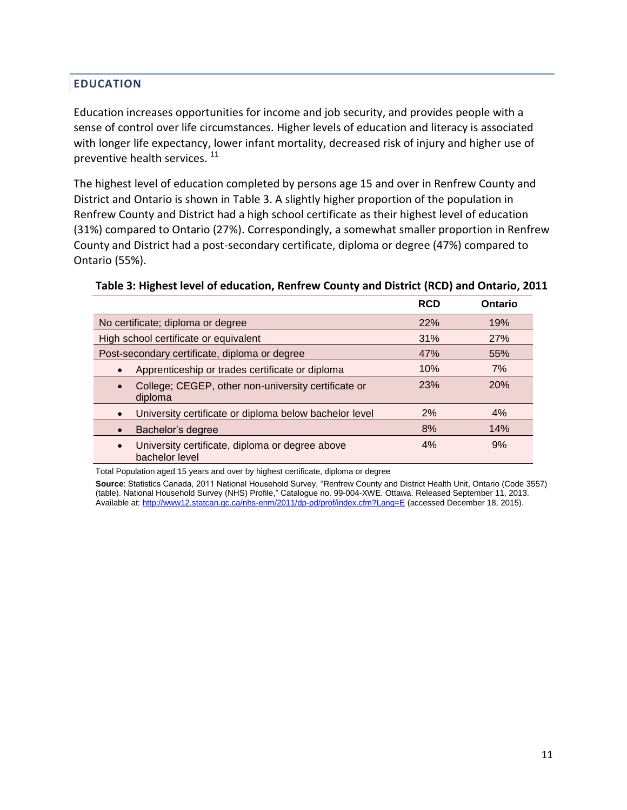# <span id="page-11-0"></span>**EDUCATION**

Education increases opportunities for income and job security, and provides people with a sense of control over life circumstances. Higher levels of education and literacy is associated with longer life expectancy, lower infant mortality, decreased risk of injury and higher use of preventive health services.<sup>11</sup>

The highest level of education completed by persons age 15 and over in Renfrew County and District and Ontario is shown in Table 3. A slightly higher proportion of the population in Renfrew County and District had a high school certificate as their highest level of education (31%) compared to Ontario (27%). Correspondingly, a somewhat smaller proportion in Renfrew County and District had a post-secondary certificate, diploma or degree (47%) compared to Ontario (55%).

#### **Table 3: Highest level of education, Renfrew County and District (RCD) and Ontario, 2011**

|                                                                                | <b>RCD</b> | Ontario |
|--------------------------------------------------------------------------------|------------|---------|
| No certificate; diploma or degree                                              | 22%        | 19%     |
| High school certificate or equivalent                                          | 31%        | 27%     |
| Post-secondary certificate, diploma or degree                                  | 47%        | 55%     |
| Apprenticeship or trades certificate or diploma<br>$\bullet$                   | 10%        | 7%      |
| College; CEGEP, other non-university certificate or<br>diploma                 | 23%        | 20%     |
| University certificate or diploma below bachelor level                         | 2%         | 4%      |
| Bachelor's degree                                                              | 8%         | 14%     |
| University certificate, diploma or degree above<br>$\bullet$<br>bachelor level | 4%         | 9%      |

Total Population aged 15 years and over by highest certificate, diploma or degree

**Source**: Statistics Canada, 2011 National Household Survey, "Renfrew County and District Health Unit, Ontario (Code 3557) (table). National Household Survey (NHS) Profile," Catalogue no. 99-004-XWE. Ottawa. Released September 11, 2013. Available at[: http://www12.statcan.gc.ca/nhs-enm/2011/dp-pd/prof/index.cfm?Lang=E](http://www12.statcan.gc.ca/nhs-enm/2011/dp-pd/prof/index.cfm?Lang=E) (accessed December 18, 2015).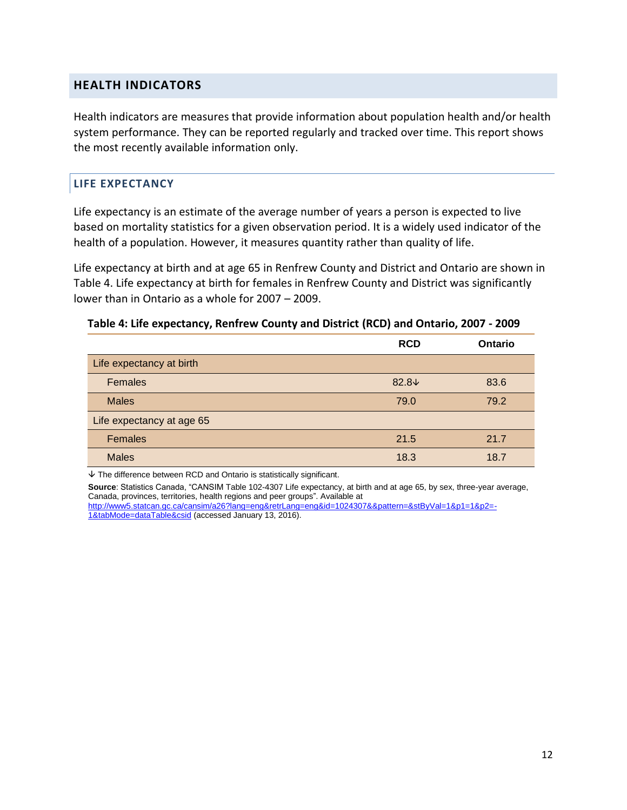#### <span id="page-12-0"></span>**HEALTH INDICATORS**

Health indicators are measures that provide information about population health and/or health system performance. They can be reported regularly and tracked over time. This report shows the most recently available information only.

#### <span id="page-12-1"></span>**LIFE EXPECTANCY**

Life expectancy is an estimate of the average number of years a person is expected to live based on mortality statistics for a given observation period. It is a widely used indicator of the health of a population. However, it measures quantity rather than quality of life.

Life expectancy at birth and at age 65 in Renfrew County and District and Ontario are shown in Table 4. Life expectancy at birth for females in Renfrew County and District was significantly lower than in Ontario as a whole for 2007 – 2009.

|                           | <b>RCD</b>     | Ontario |
|---------------------------|----------------|---------|
| Life expectancy at birth  |                |         |
| <b>Females</b>            | $82.8\text{V}$ | 83.6    |
| <b>Males</b>              | 79.0           | 79.2    |
| Life expectancy at age 65 |                |         |
| <b>Females</b>            | 21.5           | 21.7    |
| <b>Males</b>              | 18.3           | 18.7    |

#### **Table 4: Life expectancy, Renfrew County and District (RCD) and Ontario, 2007 - 2009**

 $\overline{\triangledown}$  The difference between RCD and Ontario is statistically significant.

**Source**: Statistics Canada, "CANSIM Table 102-4307 Life expectancy, at birth and at age 65, by sex, three-year average, Canada, provinces, territories, health regions and peer groups". Available at [http://www5.statcan.gc.ca/cansim/a26?lang=eng&retrLang=eng&id=1024307&&pattern=&stByVal=1&p1=1&p2=-](http://www5.statcan.gc.ca/cansim/a26?lang=eng&retrLang=eng&id=1024307&&pattern=&stByVal=1&p1=1&p2=-1&tabMode=dataTable&csid) [1&tabMode=dataTable&csid](http://www5.statcan.gc.ca/cansim/a26?lang=eng&retrLang=eng&id=1024307&&pattern=&stByVal=1&p1=1&p2=-1&tabMode=dataTable&csid) (accessed January 13, 2016).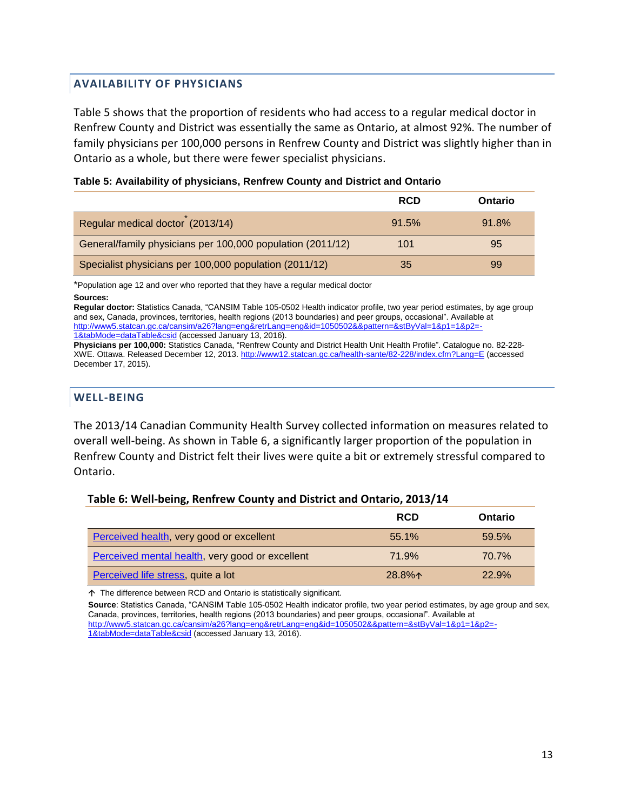#### <span id="page-13-0"></span>**AVAILABILITY OF PHYSICIANS**

Table 5 shows that the proportion of residents who had access to a regular medical doctor in Renfrew County and District was essentially the same as Ontario, at almost 92%. The number of family physicians per 100,000 persons in Renfrew County and District was slightly higher than in Ontario as a whole, but there were fewer specialist physicians.

|                                                            | <b>RCD</b> | <b>Ontario</b> |
|------------------------------------------------------------|------------|----------------|
| Regular medical doctor (2013/14)                           | 91.5%      | 91.8%          |
| General/family physicians per 100,000 population (2011/12) | 101        | 95             |
| Specialist physicians per 100,000 population (2011/12)     | 35         | 99             |

#### **Table 5: Availability of physicians, Renfrew County and District and Ontario**

\*Population age 12 and over who reported that they have a regular medical doctor **Sources:** 

**Regular doctor:** Statistics Canada, "CANSIM Table 105-0502 Health indicator profile, two year period estimates, by age group and sex, Canada, provinces, territories, health regions (2013 boundaries) and peer groups, occasional". Available at [http://www5.statcan.gc.ca/cansim/a26?lang=eng&retrLang=eng&id=1050502&&pattern=&stByVal=1&p1=1&p2=-](http://www5.statcan.gc.ca/cansim/a26?lang=eng&retrLang=eng&id=1050502&&pattern=&stByVal=1&p1=1&p2=-1&tabMode=dataTable&csid) [1&tabMode=dataTable&csid](http://www5.statcan.gc.ca/cansim/a26?lang=eng&retrLang=eng&id=1050502&&pattern=&stByVal=1&p1=1&p2=-1&tabMode=dataTable&csid) (accessed January 13, 2016).

**Physicians per 100,000:** Statistics Canada, "Renfrew County and District Health Unit Health Profile". Catalogue no. 82-228- XWE. Ottawa. Released December 12, 2013[. http://www12.statcan.gc.ca/health-sante/82-228/index.cfm?Lang=E](http://www12.statcan.gc.ca/health-sante/82-228/index.cfm?Lang=E) (accessed December 17, 2015).

#### <span id="page-13-1"></span>**WELL-BEING**

The 2013/14 Canadian Community Health Survey collected information on measures related to overall well-being. As shown in Table 6, a significantly larger proportion of the population in Renfrew County and District felt their lives were quite a bit or extremely stressful compared to Ontario.

#### **Table 6: Well-being, Renfrew County and District and Ontario, 2013/14**

|                                                 | <b>RCD</b> | Ontario |
|-------------------------------------------------|------------|---------|
| Perceived health, very good or excellent        | 55.1%      | 59.5%   |
| Perceived mental health, very good or excellent | 71.9%      | 70.7%   |
| Perceived life stress, quite a lot              | $28.8\%0$  | 22.9%   |

The difference between RCD and Ontario is statistically significant.

**Source**: Statistics Canada, "CANSIM Table 105-0502 Health indicator profile, two year period estimates, by age group and sex, Canada, provinces, territories, health regions (2013 boundaries) and peer groups, occasional". Available at [http://www5.statcan.gc.ca/cansim/a26?lang=eng&retrLang=eng&id=1050502&&pattern=&stByVal=1&p1=1&p2=-](http://www5.statcan.gc.ca/cansim/a26?lang=eng&retrLang=eng&id=1050502&&pattern=&stByVal=1&p1=1&p2=-1&tabMode=dataTable&csid)

[1&tabMode=dataTable&csid](http://www5.statcan.gc.ca/cansim/a26?lang=eng&retrLang=eng&id=1050502&&pattern=&stByVal=1&p1=1&p2=-1&tabMode=dataTable&csid) (accessed January 13, 2016).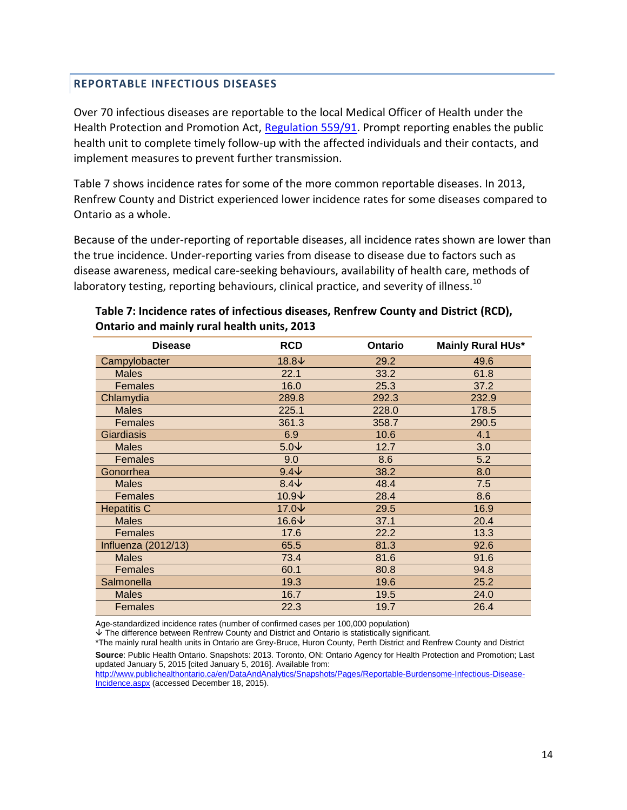#### <span id="page-14-0"></span>**REPORTABLE INFECTIOUS DISEASES**

Over 70 infectious diseases are reportable to the local Medical Officer of Health under the Health Protection and Promotion Act, [Regulation 559/91.](https://www.ontario.ca/laws/regulation/910559) Prompt reporting enables the public health unit to complete timely follow-up with the affected individuals and their contacts, and implement measures to prevent further transmission.

Table 7 shows incidence rates for some of the more common reportable diseases. In 2013, Renfrew County and District experienced lower incidence rates for some diseases compared to Ontario as a whole.

Because of the under-reporting of reportable diseases, all incidence rates shown are lower than the true incidence. Under-reporting varies from disease to disease due to factors such as disease awareness, medical care-seeking behaviours, availability of health care, methods of laboratory testing, reporting behaviours, clinical practice, and severity of illness.<sup>10</sup>

| <b>Disease</b>             | <b>RCD</b>    | <b>Ontario</b> | <b>Mainly Rural HUs*</b> |
|----------------------------|---------------|----------------|--------------------------|
| Campylobacter              | 18.8↓         | 29.2           | 49.6                     |
| <b>Males</b>               | 22.1          | 33.2           | 61.8                     |
| <b>Females</b>             | 16.0          | 25.3           | 37.2                     |
| Chlamydia                  | 289.8         | 292.3          | 232.9                    |
| <b>Males</b>               | 225.1         | 228.0          | 178.5                    |
| <b>Females</b>             | 361.3         | 358.7          | 290.5                    |
| <b>Giardiasis</b>          | 6.9           | 10.6           | 4.1                      |
| <b>Males</b>               | $5.0\text{V}$ | 12.7           | 3.0                      |
| Females                    | 9.0           | 8.6            | 5.2                      |
| Gonorrhea                  | $9.4\text{V}$ | 38.2           | 8.0                      |
| <b>Males</b>               | $8.4\text{V}$ | 48.4           | 7.5                      |
| Females                    | 10.9↓         | 28.4           | 8.6                      |
| <b>Hepatitis C</b>         | 17.0↓         | 29.5           | 16.9                     |
| <b>Males</b>               | 16.6↓         | 37.1           | 20.4                     |
| <b>Females</b>             | 17.6          | 22.2           | 13.3                     |
| <b>Influenza (2012/13)</b> | 65.5          | 81.3           | 92.6                     |
| <b>Males</b>               | 73.4          | 81.6           | 91.6                     |
| <b>Females</b>             | 60.1          | 80.8           | 94.8                     |
| Salmonella                 | 19.3          | 19.6           | 25.2                     |
| <b>Males</b>               | 16.7          | 19.5           | 24.0                     |
| Females                    | 22.3          | 19.7           | 26.4                     |

#### **Table 7: Incidence rates of infectious diseases, Renfrew County and District (RCD), Ontario and mainly rural health units, 2013**

Age-standardized incidence rates (number of confirmed cases per 100,000 population)

The difference between Renfrew County and District and Ontario is statistically significant.

\*The mainly rural health units in Ontario are Grey-Bruce, Huron County, Perth District and Renfrew County and District **Source**: Public Health Ontario. Snapshots: 2013. Toronto, ON: Ontario Agency for Health Protection and Promotion; Last updated January 5, 2015 [cited January 5, 2016]. Available from:

[http://www.publichealthontario.ca/en/DataAndAnalytics/Snapshots/Pages/Reportable-Burdensome-Infectious-Disease-](http://www.publichealthontario.ca/en/DataAndAnalytics/Snapshots/Pages/Reportable-Burdensome-Infectious-Disease-Incidence.aspx)[Incidence.aspx](http://www.publichealthontario.ca/en/DataAndAnalytics/Snapshots/Pages/Reportable-Burdensome-Infectious-Disease-Incidence.aspx) (accessed December 18, 2015).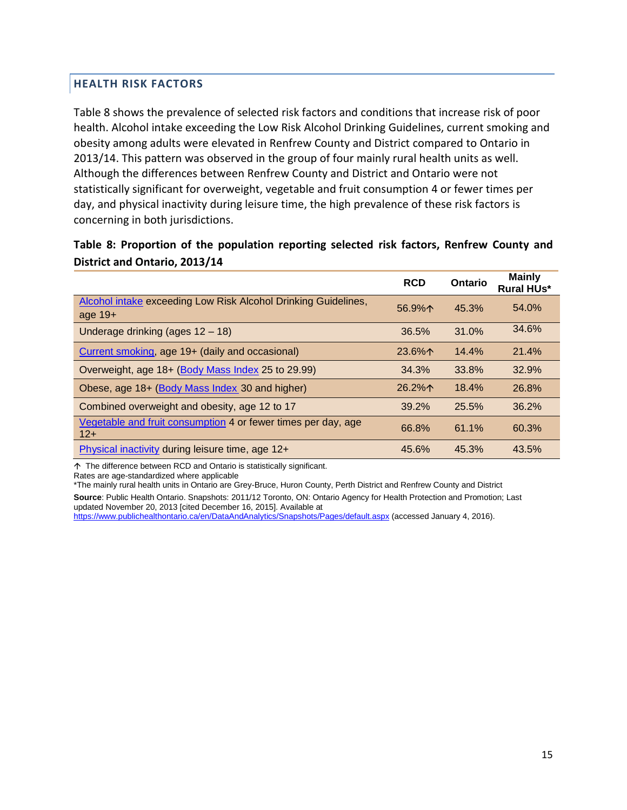# <span id="page-15-0"></span>**HEALTH RISK FACTORS**

Table 8 shows the prevalence of selected risk factors and conditions that increase risk of poor health. Alcohol intake exceeding the Low Risk Alcohol Drinking Guidelines, current smoking and obesity among adults were elevated in Renfrew County and District compared to Ontario in 2013/14. This pattern was observed in the group of four mainly rural health units as well. Although the differences between Renfrew County and District and Ontario were not statistically significant for overweight, vegetable and fruit consumption 4 or fewer times per day, and physical inactivity during leisure time, the high prevalence of these risk factors is concerning in both jurisdictions.

**Table 8: Proportion of the population reporting selected risk factors, Renfrew County and District and Ontario, 2013/14**

|                                                                           | <b>RCD</b> | Ontario | <b>Mainly</b><br><b>Rural HUs*</b> |
|---------------------------------------------------------------------------|------------|---------|------------------------------------|
| Alcohol intake exceeding Low Risk Alcohol Drinking Guidelines,<br>age 19+ | 56.9%      | 45.3%   | 54.0%                              |
| Underage drinking (ages $12 - 18$ )                                       | 36.5%      | 31.0%   | 34.6%                              |
| Current smoking, age 19+ (daily and occasional)                           | $23.6\%$   | 14.4%   | 21.4%                              |
| Overweight, age 18+ (Body Mass Index 25 to 29.99)                         | 34.3%      | 33.8%   | 32.9%                              |
| Obese, age 18+ (Body Mass Index 30 and higher)                            | $26.2\%$   | 18.4%   | 26.8%                              |
| Combined overweight and obesity, age 12 to 17                             | 39.2%      | 25.5%   | 36.2%                              |
| Vegetable and fruit consumption 4 or fewer times per day, age<br>$12+$    | 66.8%      | 61.1%   | 60.3%                              |
| Physical inactivity during leisure time, age 12+                          | 45.6%      | 45.3%   | 43.5%                              |

The difference between RCD and Ontario is statistically significant.

Rates are age-standardized where applicable

\*The mainly rural health units in Ontario are Grey-Bruce, Huron County, Perth District and Renfrew County and District **Source**: Public Health Ontario. Snapshots: 2011/12 Toronto, ON: Ontario Agency for Health Protection and Promotion; Last updated November 20, 2013 [cited December 16, 2015]. Available at

<https://www.publichealthontario.ca/en/DataAndAnalytics/Snapshots/Pages/default.aspx> (accessed January 4, 2016).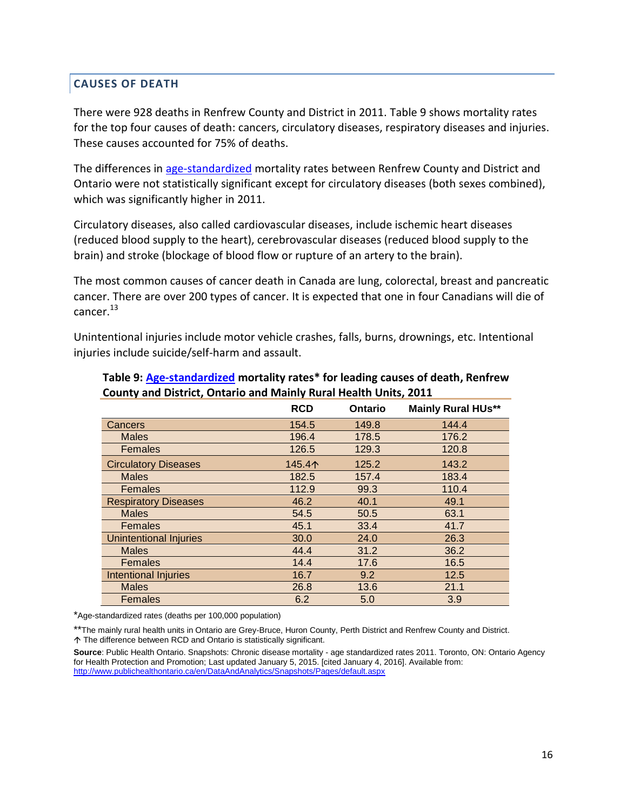#### <span id="page-16-0"></span>**CAUSES OF DEATH**

There were 928 deaths in Renfrew County and District in 2011. Table 9 shows mortality rates for the top four causes of death: cancers, circulatory diseases, respiratory diseases and injuries. These causes accounted for 75% of deaths.

The differences in [age-standardized](#page-18-5) mortality rates between Renfrew County and District and Ontario were not statistically significant except for circulatory diseases (both sexes combined), which was significantly higher in 2011.

Circulatory diseases, also called cardiovascular diseases, include ischemic heart diseases (reduced blood supply to the heart), cerebrovascular diseases (reduced blood supply to the brain) and stroke (blockage of blood flow or rupture of an artery to the brain).

The most common causes of cancer death in Canada are lung, colorectal, breast and pancreatic cancer. There are over 200 types of cancer. It is expected that one in four Canadians will die of cancer.<sup>13</sup>

Unintentional injuries include motor vehicle crashes, falls, burns, drownings, etc. Intentional injuries include suicide/self-harm and assault.

|                               | <b>RCD</b> | <b>Ontario</b> | <b>Mainly Rural HUs**</b> |
|-------------------------------|------------|----------------|---------------------------|
| Cancers                       | 154.5      | 149.8          | 144.4                     |
| <b>Males</b>                  | 196.4      | 178.5          | 176.2                     |
| <b>Females</b>                | 126.5      | 129.3          | 120.8                     |
| <b>Circulatory Diseases</b>   | 145.4个     | 125.2          | 143.2                     |
| <b>Males</b>                  | 182.5      | 157.4          | 183.4                     |
| <b>Females</b>                | 112.9      | 99.3           | 110.4                     |
| <b>Respiratory Diseases</b>   | 46.2       | 40.1           | 49.1                      |
| <b>Males</b>                  | 54.5       | 50.5           | 63.1                      |
| Females                       | 45.1       | 33.4           | 41.7                      |
| <b>Unintentional Injuries</b> | 30.0       | 24.0           | 26.3                      |
| <b>Males</b>                  | 44.4       | 31.2           | 36.2                      |
| <b>Females</b>                | 14.4       | 17.6           | 16.5                      |
| <b>Intentional Injuries</b>   | 16.7       | 9.2            | 12.5                      |
| <b>Males</b>                  | 26.8       | 13.6           | 21.1                      |
| Females                       | 6.2        | 5.0            | 3.9                       |

#### **Table 9: [Age-standardized](#page-18-5) mortality rates\* for leading causes of death, Renfrew County and District, Ontario and Mainly Rural Health Units, 2011**

\*Age-standardized rates (deaths per 100,000 population)

\*\*The mainly rural health units in Ontario are Grey-Bruce, Huron County, Perth District and Renfrew County and District. The difference between RCD and Ontario is statistically significant.

**Source**: Public Health Ontario. Snapshots: Chronic disease mortality - age standardized rates 2011. Toronto, ON: Ontario Agency for Health Protection and Promotion; Last updated January 5, 2015. [cited January 4, 2016]. Available from: <http://www.publichealthontario.ca/en/DataAndAnalytics/Snapshots/Pages/default.aspx>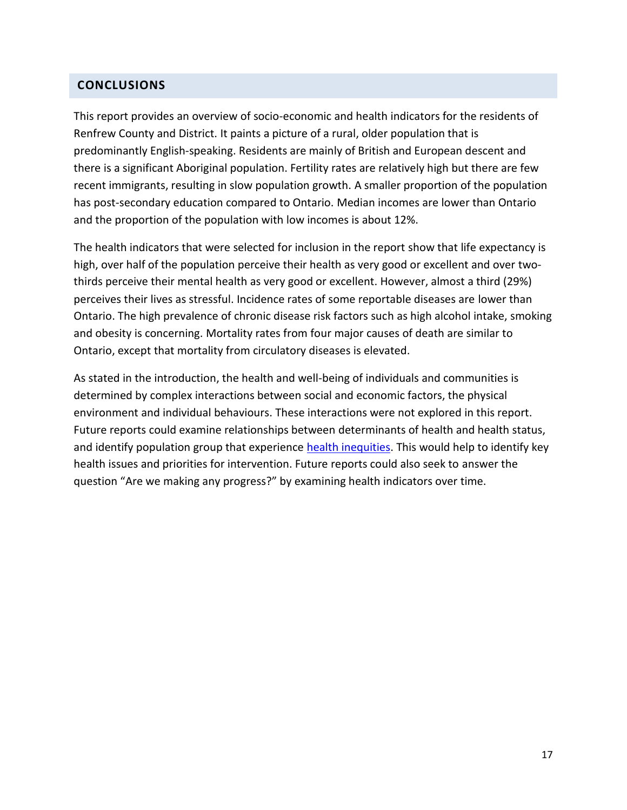#### <span id="page-17-0"></span>**CONCLUSIONS**

This report provides an overview of socio-economic and health indicators for the residents of Renfrew County and District. It paints a picture of a rural, older population that is predominantly English-speaking. Residents are mainly of British and European descent and there is a significant Aboriginal population. Fertility rates are relatively high but there are few recent immigrants, resulting in slow population growth. A smaller proportion of the population has post-secondary education compared to Ontario. Median incomes are lower than Ontario and the proportion of the population with low incomes is about 12%.

The health indicators that were selected for inclusion in the report show that life expectancy is high, over half of the population perceive their health as very good or excellent and over twothirds perceive their mental health as very good or excellent. However, almost a third (29%) perceives their lives as stressful. Incidence rates of some reportable diseases are lower than Ontario. The high prevalence of chronic disease risk factors such as high alcohol intake, smoking and obesity is concerning. Mortality rates from four major causes of death are similar to Ontario, except that mortality from circulatory diseases is elevated.

As stated in the introduction, the health and well-being of individuals and communities is determined by complex interactions between social and economic factors, the physical environment and individual behaviours. These interactions were not explored in this report. Future reports could examine relationships between determinants of health and health status, and identify population group that experience [health inequities.](#page-19-0) This would help to identify key health issues and priorities for intervention. Future reports could also seek to answer the question "Are we making any progress?" by examining health indicators over time.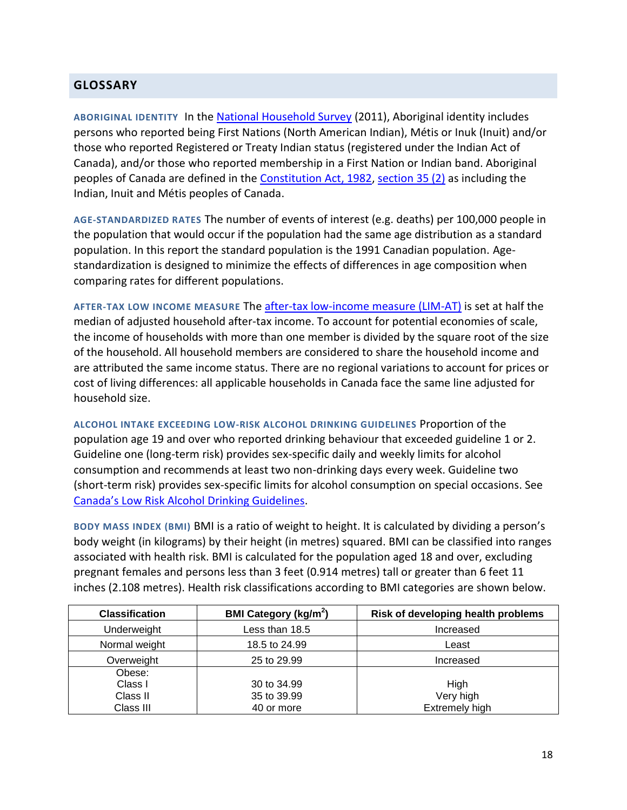# <span id="page-18-0"></span>**GLOSSARY**

<span id="page-18-1"></span>**ABORIGINAL IDENTITY** In the [National Household Survey](http://www12.statcan.gc.ca/nhs-enm/2011/dp-pd/prof/index.cfm?Lang=E) (2011), Aboriginal identity includes persons who reported being First Nations (North American Indian), Métis or Inuk (Inuit) and/or those who reported Registered or Treaty Indian status (registered under the Indian Act of Canada), and/or those who reported membership in a First Nation or Indian band. Aboriginal peoples of Canada are defined in the [Constitution Act, 1982,](http://laws-lois.justice.gc.ca/eng/const/page-15.html#h-38) [section 35 \(2\)](http://laws-lois.justice.gc.ca/eng/const/page-16.html#h-52) as including the Indian, Inuit and Métis peoples of Canada.

<span id="page-18-5"></span>**AGE-STANDARDIZED RATES** The number of events of interest (e.g. deaths) per 100,000 people in the population that would occur if the population had the same age distribution as a standard population. In this report the standard population is the 1991 Canadian population. Agestandardization is designed to minimize the effects of differences in age composition when comparing rates for different populations.

<span id="page-18-2"></span>**AFTER-TAX LOW INCOME MEASURE** The [after-tax low-income measure \(LIM-AT\)](http://www12.statcan.gc.ca/nhs-enm/2011/ref/dict/fam021-eng.cfm) is set at half the median of adjusted household after-tax income. To account for potential economies of scale, the income of households with more than one member is divided by the square root of the size of the household. All household members are considered to share the household income and are attributed the same income status. There are no regional variations to account for prices or cost of living differences: all applicable households in Canada face the same line adjusted for household size.

<span id="page-18-3"></span>**ALCOHOL INTAKE EXCEEDING LOW-RISK ALCOHOL DRINKING GUIDELINES** Proportion of the population age 19 and over who reported drinking behaviour that exceeded guideline 1 or 2. Guideline one (long-term risk) provides sex-specific daily and weekly limits for alcohol consumption and recommends at least two non-drinking days every week. Guideline two (short-term risk) provides sex-specific limits for alcohol consumption on special occasions. See Canada's Low R[isk Alcohol Drinking Guidelines.](http://www.ccsa.ca/Resource%20Library/2012-Canada-Low-Risk-Alcohol-Drinking-Guidelines-Brochure-en.pdf)

<span id="page-18-4"></span>**BODY MASS INDEX (BMI)** BMI is a ratio of weight to height. It is calculated by dividing a person's body weight (in kilograms) by their height (in metres) squared. BMI can be classified into ranges associated with health risk. BMI is calculated for the population aged 18 and over, excluding pregnant females and persons less than 3 feet (0.914 metres) tall or greater than 6 feet 11 inches (2.108 metres). Health risk classifications according to BMI categories are shown below.

| <b>Classification</b> | <b>BMI Category (kg/m<sup>2</sup>)</b> | Risk of developing health problems |
|-----------------------|----------------------------------------|------------------------------------|
| Underweight           | Less than 18.5                         | Increased                          |
| Normal weight         | 18.5 to 24.99                          | Least                              |
| Overweight            | 25 to 29.99                            | Increased                          |
| Obese:                |                                        |                                    |
| Class I               | 30 to 34.99                            | High                               |
| Class II              | 35 to 39.99                            | Very high                          |
| Class III             | 40 or more                             | <b>Extremely high</b>              |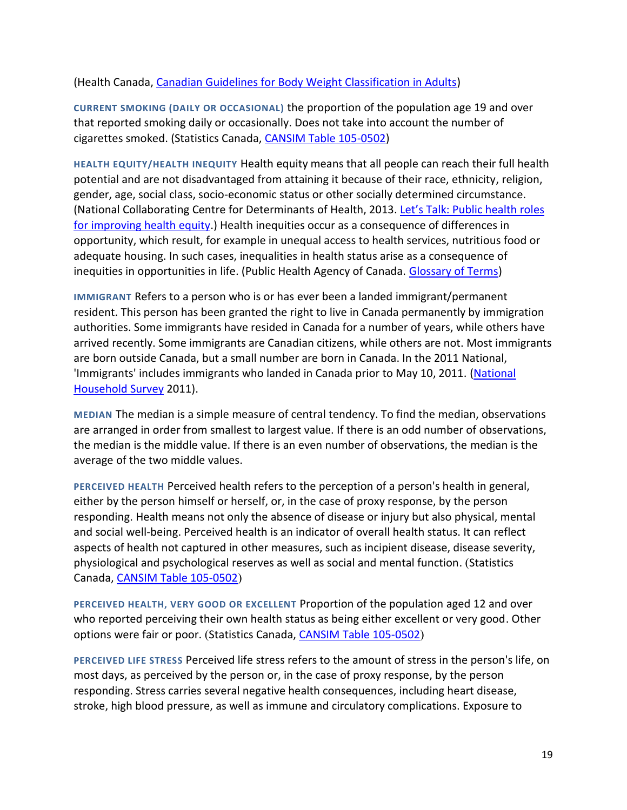#### (Health Canada, [Canadian Guidelines for Body Weight Classification in Adults\)](http://www.hc-sc.gc.ca/fn-an/nutrition/weights-poids/guide-ld-adult/index-eng.php)

<span id="page-19-4"></span>**CURRENT SMOKING (DAILY OR OCCASIONAL)** the proportion of the population age 19 and over that reported smoking daily or occasionally. Does not take into account the number of cigarettes smoked. (Statistics Canada, [CANSIM Table 105-0502\)](http://www5.statcan.gc.ca/cansim/a26?lang=eng&retrLang=eng&id=1050502&&pattern=&stByVal=1&p1=1&p2=-1&tabMode=dataTable&csid=#F28)

<span id="page-19-0"></span>**HEALTH EQUITY/HEALTH INEQUITY** Health equity means that all people can reach their full health potential and are not disadvantaged from attaining it because of their race, ethnicity, religion, gender, age, social class, socio-economic status or other socially determined circumstance. (National Collaborating Centre for Determinants of Health, 2013. Let's Talk: [Public health roles](http://nccdh.ca/resources/entry/lets-talk-public-health-roles)  [for improving health equity.](http://nccdh.ca/resources/entry/lets-talk-public-health-roles)) Health inequities occur as a consequence of differences in opportunity, which result, for example in unequal access to health services, nutritious food or adequate housing. In such cases, inequalities in health status arise as a consequence of inequities in opportunities in life. (Public Health Agency of Canada. [Glossary of Terms\)](http://www.phac-aspc.gc.ca/php-psp/ccph-cesp/glos-eng.php#e)

<span id="page-19-2"></span>**IMMIGRANT** Refers to a person who is or has ever been a landed immigrant/permanent resident. This person has been granted the right to live in Canada permanently by immigration authorities. Some immigrants have resided in Canada for a number of years, while others have arrived recently. Some immigrants are Canadian citizens, while others are not. Most immigrants are born outside Canada, but a small number are born in Canada. In the 2011 National, 'Immigrants' includes immigrants who landed in Canada prior to May 10, 2011. (National [Household Survey](http://www12.statcan.gc.ca/nhs-enm/2011/dp-pd/prof/index.cfm?Lang=E) 2011).

<span id="page-19-1"></span>**MEDIAN** The median is a simple measure of central tendency. To find the median, observations are arranged in order from smallest to largest value. If there is an odd number of observations, the median is the middle value. If there is an even number of observations, the median is the average of the two middle values.

**PERCEIVED HEALTH** Perceived health refers to the perception of a person's health in general, either by the person himself or herself, or, in the case of proxy response, by the person responding. Health means not only the absence of disease or injury but also physical, mental and social well-being. Perceived health is an indicator of overall health status. It can reflect aspects of health not captured in other measures, such as incipient disease, disease severity, physiological and psychological reserves as well as social and mental function. (Statistics Canada, [CANSIM Table 105-0502](http://www5.statcan.gc.ca/cansim/a26?lang=eng&retrLang=eng&id=1050502&&pattern=&stByVal=1&p1=1&p2=-1&tabMode=dataTable&csid=#F28))

<span id="page-19-3"></span>**PERCEIVED HEALTH, VERY GOOD OR EXCELLENT** Proportion of the population aged 12 and over who reported perceiving their own health status as being either excellent or very good. Other options were fair or poor. (Statistics Canada, [CANSIM Table 105-0502](http://www5.statcan.gc.ca/cansim/a26?lang=eng&retrLang=eng&id=1050502&&pattern=&stByVal=1&p1=1&p2=-1&tabMode=dataTable&csid=#F28))

**PERCEIVED LIFE STRESS** Perceived life stress refers to the amount of stress in the person's life, on most days, as perceived by the person or, in the case of proxy response, by the person responding. Stress carries several negative health consequences, including heart disease, stroke, high blood pressure, as well as immune and circulatory complications. Exposure to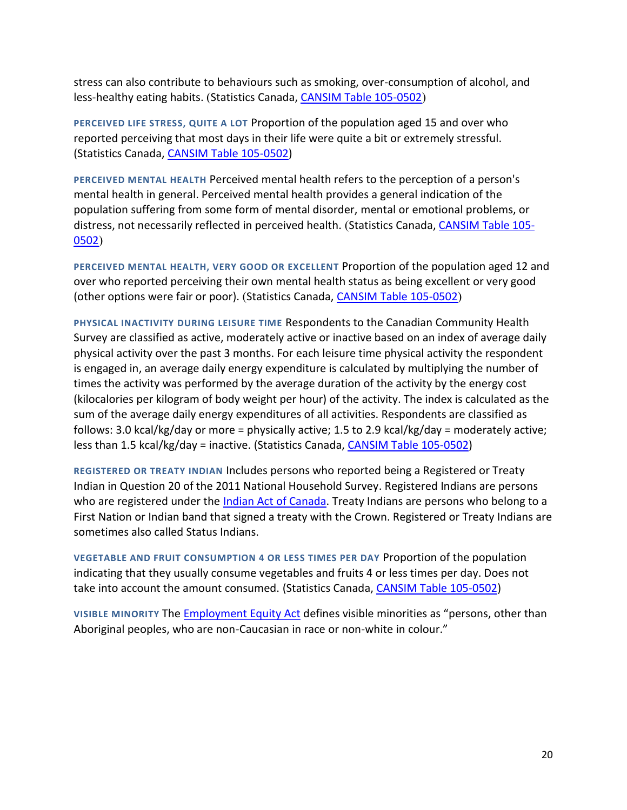stress can also contribute to behaviours such as smoking, over-consumption of alcohol, and less-healthy eating habits. (Statistics Canada[, CANSIM Table 105-0502](http://www5.statcan.gc.ca/cansim/a26?lang=eng&retrLang=eng&id=1050502&&pattern=&stByVal=1&p1=1&p2=-1&tabMode=dataTable&csid=#F28))

<span id="page-20-2"></span>**PERCEIVED LIFE STRESS, QUITE A LOT** Proportion of the population aged 15 and over who reported perceiving that most days in their life were quite a bit or extremely stressful. (Statistics Canada, [CANSIM Table 105-0502\)](http://www5.statcan.gc.ca/cansim/a26?lang=eng&retrLang=eng&id=1050502&&pattern=&stByVal=1&p1=1&p2=-1&tabMode=dataTable&csid=#F28)

**PERCEIVED MENTAL HEALTH** Perceived mental health refers to the perception of a person's mental health in general. Perceived mental health provides a general indication of the population suffering from some form of mental disorder, mental or emotional problems, or distress, not necessarily reflected in perceived health. (Statistics Canada, [CANSIM Table 105-](http://www5.statcan.gc.ca/cansim/a26?lang=eng&retrLang=eng&id=1050502&&pattern=&stByVal=1&p1=1&p2=-1&tabMode=dataTable&csid=#F28) [0502](http://www5.statcan.gc.ca/cansim/a26?lang=eng&retrLang=eng&id=1050502&&pattern=&stByVal=1&p1=1&p2=-1&tabMode=dataTable&csid=#F28))

<span id="page-20-1"></span>**PERCEIVED MENTAL HEALTH, VERY GOOD OR EXCELLENT** Proportion of the population aged 12 and over who reported perceiving their own mental health status as being excellent or very good (other options were fair or poor). (Statistics Canada, [CANSIM Table 105-0502](http://www5.statcan.gc.ca/cansim/a26?lang=eng&retrLang=eng&id=1050502&&pattern=&stByVal=1&p1=1&p2=-1&tabMode=dataTable&csid=#F28))

<span id="page-20-4"></span>**PHYSICAL INACTIVITY DURING LEISURE TIME** Respondents to the Canadian Community Health Survey are classified as active, moderately active or inactive based on an index of average daily physical activity over the past 3 months. For each leisure time physical activity the respondent is engaged in, an average daily energy expenditure is calculated by multiplying the number of times the activity was performed by the average duration of the activity by the energy cost (kilocalories per kilogram of body weight per hour) of the activity. The index is calculated as the sum of the average daily energy expenditures of all activities. Respondents are classified as follows: 3.0 kcal/kg/day or more = physically active; 1.5 to 2.9 kcal/kg/day = moderately active; less than 1.5 kcal/kg/day = inactive. (Statistics Canada, [CANSIM Table 105-0502\)](http://www5.statcan.gc.ca/cansim/a26?lang=eng&retrLang=eng&id=1050502&&pattern=&stByVal=1&p1=1&p2=-1&tabMode=dataTable&csid=#F28)

<span id="page-20-0"></span>**REGISTERED OR TREATY INDIAN** Includes persons who reported being a Registered or Treaty Indian in Question 20 of the 2011 National Household Survey. Registered Indians are persons who are registered under th[e Indian Act](http://laws-lois.justice.gc.ca/eng/acts/i-5/) of Canada. Treaty Indians are persons who belong to a First Nation or Indian band that signed a treaty with the Crown. Registered or Treaty Indians are sometimes also called Status Indians.

<span id="page-20-3"></span>**VEGETABLE AND FRUIT CONSUMPTION 4 OR LESS TIMES PER DAY** Proportion of the population indicating that they usually consume vegetables and fruits 4 or less times per day. Does not take into account the amount consumed. (Statistics Canada, [CANSIM Table 105-0502\)](http://www5.statcan.gc.ca/cansim/a26?lang=eng&retrLang=eng&id=1050502&&pattern=&stByVal=1&p1=1&p2=-1&tabMode=dataTable&csid=#F28)

**VISIBLE MINORITY** The [Employment Equity Act](http://laws-lois.justice.gc.ca/eng/acts/e-5.401/) defines visible minorities as "persons, other than Aboriginal peoples, who are non-Caucasian in race or non-white in colour."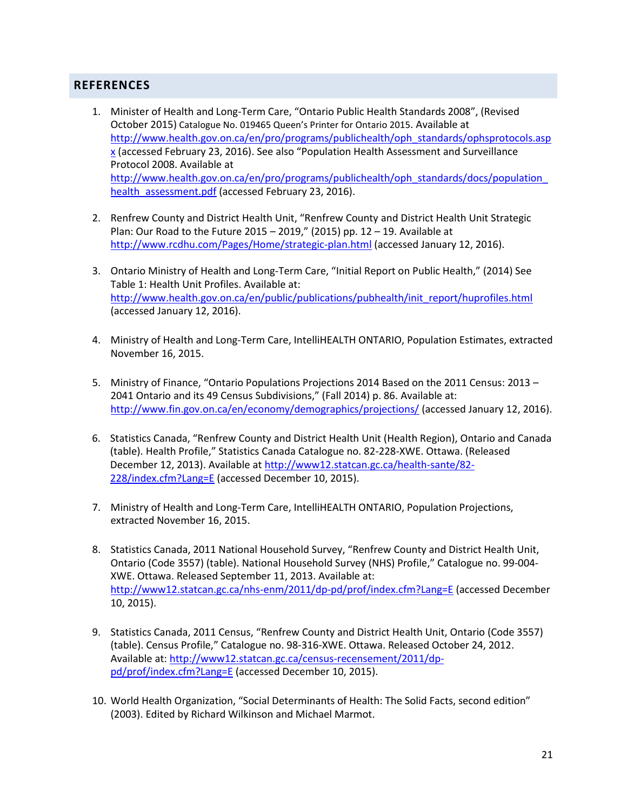# <span id="page-21-0"></span>**REFERENCES**

- 1. Minister of Health and Long-Term Care, "Ontario Public Health Standards 2008", (Revised October 2015) Catalogue No. 019465 Queen's Printer for Ontario 2015. Available at [http://www.health.gov.on.ca/en/pro/programs/publichealth/oph\\_standards/ophsprotocols.asp](http://www.health.gov.on.ca/en/pro/programs/publichealth/oph_standards/ophsprotocols.aspx)  $x$  (accessed February 23, 2016). See also "Population Health Assessment and Surveillance Protocol 2008. Available at [http://www.health.gov.on.ca/en/pro/programs/publichealth/oph\\_standards/docs/population\\_](http://www.health.gov.on.ca/en/pro/programs/publichealth/oph_standards/docs/population_health_assessment.pdf) [health\\_assessment.pdf](http://www.health.gov.on.ca/en/pro/programs/publichealth/oph_standards/docs/population_health_assessment.pdf) (accessed February 23, 2016).
- 2. Renfrew County and District Health Unit, "Renfrew County and District Health Unit Strategic Plan: Our Road to the Future 2015 – 2019," (2015) pp. 12 – 19. Available at <http://www.rcdhu.com/Pages/Home/strategic-plan.html> (accessed January 12, 2016).
- 3. Ontario Ministry of Health and Long-Term Care, "Initial Report on Public Health," (2014) See Table 1: Health Unit Profiles. Available at: [http://www.health.gov.on.ca/en/public/publications/pubhealth/init\\_report/huprofiles.html](http://www.health.gov.on.ca/en/public/publications/pubhealth/init_report/huprofiles.html) (accessed January 12, 2016).
- 4. Ministry of Health and Long-Term Care, IntelliHEALTH ONTARIO, Population Estimates, extracted November 16, 2015.
- 5. Ministry of Finance, "Ontario Populations Projections 2014 Based on the 2011 Census: 2013 2041 Ontario and its 49 Census Subdivisions," (Fall 2014) p. 86. Available at: <http://www.fin.gov.on.ca/en/economy/demographics/projections/> (accessed January 12, 2016).
- 6. Statistics Canada, "Renfrew County and District Health Unit (Health Region), Ontario and Canada (table). Health Profile," Statistics Canada Catalogue no. 82-228-XWE. Ottawa. (Released December 12, 2013). Available at [http://www12.statcan.gc.ca/health-sante/82-](http://www12.statcan.gc.ca/health-sante/82-228/index.cfm?Lang=E) [228/index.cfm?Lang=E](http://www12.statcan.gc.ca/health-sante/82-228/index.cfm?Lang=E) (accessed December 10, 2015).
- 7. Ministry of Health and Long-Term Care, IntelliHEALTH ONTARIO, Population Projections, extracted November 16, 2015.
- 8. Statistics Canada, 2011 National Household Survey, "Renfrew County and District Health Unit, Ontario (Code 3557) (table). National Household Survey (NHS) Profile," Catalogue no. 99-004- XWE. Ottawa. Released September 11, 2013. Available at: <http://www12.statcan.gc.ca/nhs-enm/2011/dp-pd/prof/index.cfm?Lang=E> (accessed December 10, 2015).
- 9. Statistics Canada, 2011 Census, "Renfrew County and District Health Unit, Ontario (Code 3557) (table). Census Profile," Catalogue no. 98-316-XWE. Ottawa. Released October 24, 2012. Available at[: http://www12.statcan.gc.ca/census-recensement/2011/dp](http://www12.statcan.gc.ca/census-recensement/2011/dp-pd/prof/index.cfm?Lang=E)[pd/prof/index.cfm?Lang=E](http://www12.statcan.gc.ca/census-recensement/2011/dp-pd/prof/index.cfm?Lang=E) (accessed December 10, 2015).
- 10. World Health Organization, "Social Determinants of Health: The Solid Facts, second edition" (2003). Edited by Richard Wilkinson and Michael Marmot.